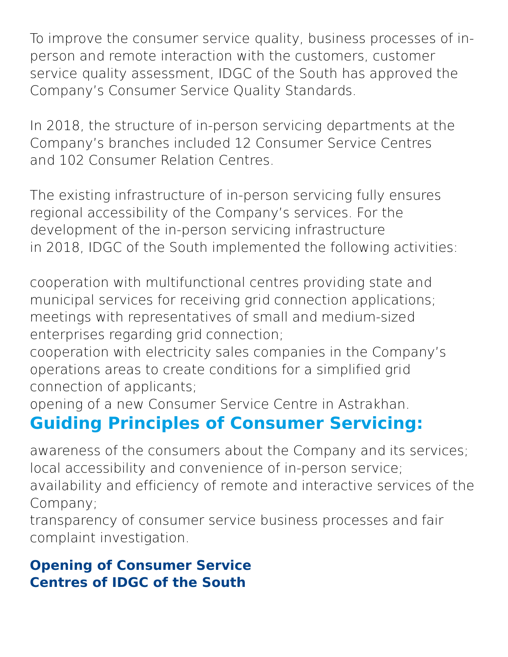To improve the consumer service quality, business processes of inperson and remote interaction with the customers, customer service quality assessment, IDGC of the South has approved the Company's Consumer Service Quality Standards.

In 2018, the structure of in-person servicing departments at the Company's branches included 12 Consumer Service Centres and 102 Consumer Relation Centres.

The existing infrastructure of in-person servicing fully ensures regional accessibility of the Company's services. For the development of the in-person servicing infrastructure in 2018, IDGC of the South implemented the following activities:

cooperation with multifunctional centres providing state and municipal services for receiving grid connection applications; meetings with representatives of small and medium-sized enterprises regarding grid connection;

cooperation with electricity sales companies in the Company's operations areas to create conditions for a simplified grid connection of applicants;

opening of a new Consumer Service Centre in Astrakhan.

# **Guiding Principles of Consumer Servicing:**

awareness of the consumers about the Company and its services; local accessibility and convenience of in-person service; availability and efficiency of remote and interactive services of the Company;

transparency of consumer service business processes and fair complaint investigation.

### **Opening of Consumer Service Centres of IDGC of the South**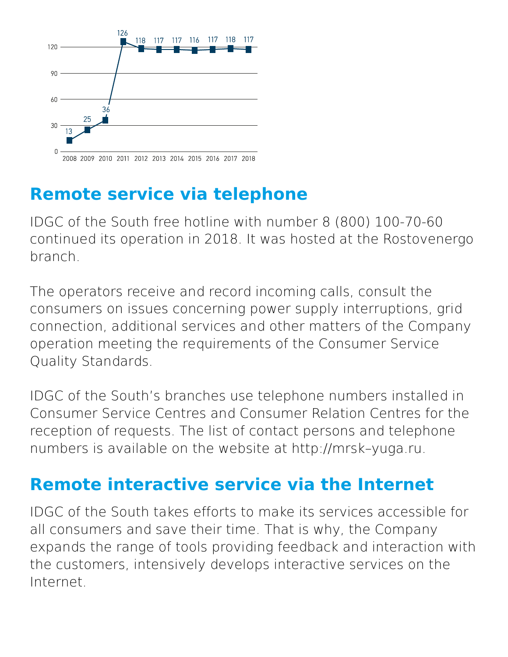

# **Remote service via telephone**

IDGC of the South free hotline with number 8 (800) 100-70-60 continued its operation in 2018. It was hosted at the Rostovenergo branch.

The operators receive and record incoming calls, consult the consumers on issues concerning power supply interruptions, grid connection, additional services and other matters of the Company operation meeting the requirements of the Consumer Service Quality Standards.

IDGC of the South's branches use telephone numbers installed in Consumer Service Centres and Consumer Relation Centres for the reception of requests. The list of contact persons and telephone numbers is available on the website at http://mrsk–yuga.ru.

## **Remote interactive service via the Internet**

IDGC of the South takes efforts to make its services accessible for all consumers and save their time. That is why, the Company expands the range of tools providing feedback and interaction with the customers, intensively develops interactive services on the Internet.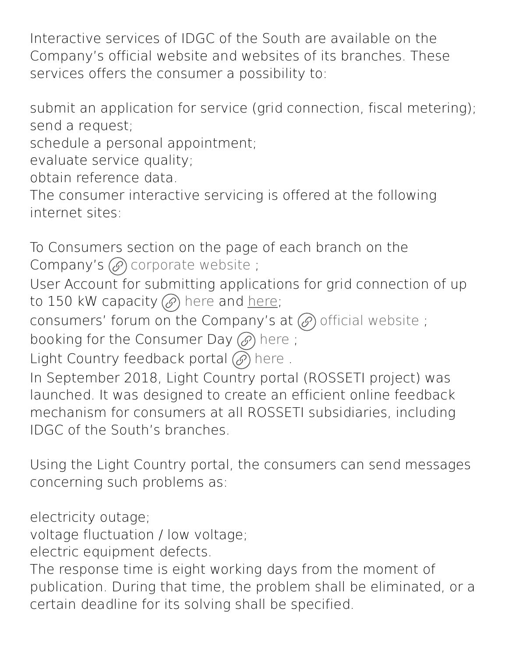Interactive services of IDGC of the South are available on the Company's official website and websites of its branches. These services offers the consumer a possibility to:

submit an application for service (grid connection, fiscal metering); send a request;

schedule a personal appointment;

evaluate service quality;

obtain reference data.

The consumer interactive servicing is offered at the following internet sites:

To Consumers section on the page of each branch on the Company's  $\circled{e}$  [corporate](http://mrsk-yuga.ru/) website;

User Account for submitting applications for grid connection of up to 150 kW capacity  $(\mathscr{D})$  [here](https://xn----7sb7akeedqd.xn--p1ai/) and [here;](http://lk.mrsk-yuga.ru/)

consumers' forum on the Company's at  $\mathcal{O}_0$  official [website](http://dp.mrsk-yuga.ru/forum/);

booking for the Consumer Day  $\mathcal{O}$  [here](http://dp.mrsk-yuga.ru/);

Light Country feedback portal  $\mathcal{O}$  [here](https://xn--80aaafp0bqweeid1o.xn--p1ai/platform/portal/cons_main) .

In September 2018, Light Country portal (ROSSETI project) was launched. It was designed to create an efficient online feedback mechanism for consumers at all ROSSETI subsidiaries, including IDGC of the South's branches.

Using the Light Country portal, the consumers can send messages concerning such problems as:

electricity outage;

voltage fluctuation / low voltage;

electric equipment defects.

The response time is eight working days from the moment of publication. During that time, the problem shall be eliminated, or a certain deadline for its solving shall be specified.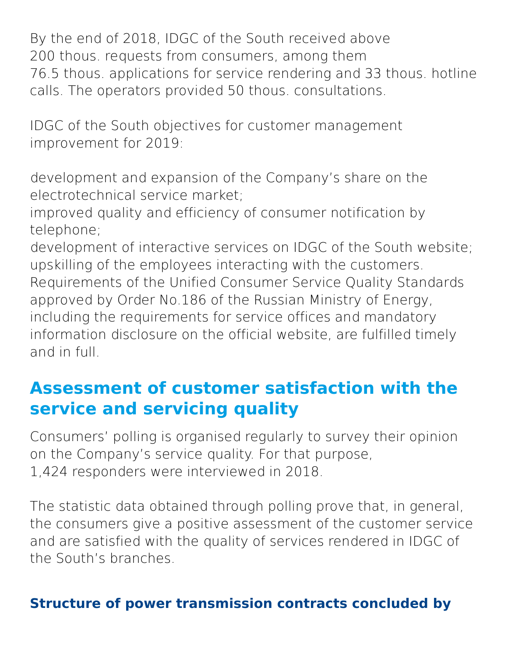By the end of 2018, IDGC of the South received above 200 thous. requests from consumers, among them 76.5 thous. applications for service rendering and 33 thous. hotline calls. The operators provided 50 thous. consultations.

IDGC of the South objectives for customer management improvement for 2019:

development and expansion of the Company's share on the electrotechnical service market;

improved quality and efficiency of consumer notification by telephone;

development of interactive services on IDGC of the South website; upskilling of the employees interacting with the customers. Requirements of the Unified Consumer Service Quality Standards approved by Order No.186 of the Russian Ministry of Energy, including the requirements for service offices and mandatory information disclosure on the official website, are fulfilled timely and in full.

## **Assessment of customer satisfaction with the service and servicing quality**

Consumers' polling is organised regularly to survey their opinion on the Company's service quality. For that purpose, 1,424 responders were interviewed in 2018.

The statistic data obtained through polling prove that, in general, the consumers give a positive assessment of the customer service and are satisfied with the quality of services rendered in IDGC of the South's branches.

### **Structure of power transmission contracts concluded by**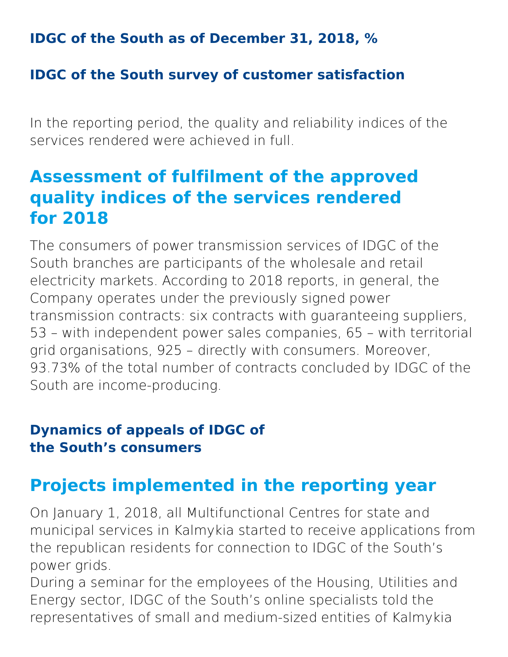**IDGC of the South as of December 31, 2018, %**

### **IDGC of the South survey of customer satisfaction**

In the reporting period, the quality and reliability indices of the services rendered were achieved in full.

## **Assessment of fulfilment of the approved quality indices of the services rendered for 2018**

The consumers of power transmission services of IDGC of the South branches are participants of the wholesale and retail electricity markets. According to 2018 reports, in general, the Company operates under the previously signed power transmission contracts: six contracts with guaranteeing suppliers, 53 – with independent power sales companies, 65 – with territorial grid organisations, 925 – directly with consumers. Moreover, 93.73% of the total number of contracts concluded by IDGC of the South are income-producing.

### **Dynamics of appeals of IDGC of the South's consumers**

# **Projects implemented in the reporting year**

On January 1, 2018, all Multifunctional Centres for state and municipal services in Kalmykia started to receive applications from the republican residents for connection to IDGC of the South's power grids.

During a seminar for the employees of the Housing, Utilities and Energy sector, IDGC of the South's online specialists told the representatives of small and medium-sized entities of Kalmykia